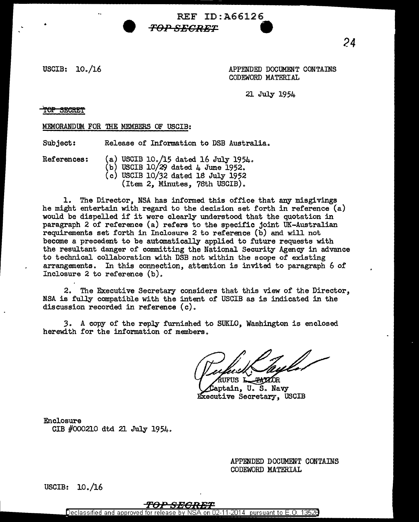USCIB: 10. /16

APPENDED DOCUMENT CONTAINS CODEWORD MATERIAL

21 July 1954

REF ID:A66126

<del>TOP SECRET</del>

•

MEMORANDUM FOR THE MEMBERS OF USCIB:

Subject: Release of Information to DSB Australia.

References: (a) USCIB 10./15 dated 16 July 1954.

(b) USCIB  $10/29$  dated 4 June 1952. (c) USCIB 10/32 dated 18 July 1952 (Item 2, Minutes, 78th USCIB).

*Teh" SECRET* **9** 

1. The Director, NSA has infonned this office that any misgivings he might entertain with regard to the decision set forth in reference (a) would be dispelled if it were clearly understood that the quotation in paragraph 2 of reference (a) refers to the specific joint UK-Australian requirements set forth in Inclosure 2 to reference (b) and will not become a precedent to be automatically applied to future requests with the resultant danger of committing the National Security Agency in advance to technical collaboration with DSB not within the scope of existing arrangements. In this connection, attention is invited to paragraph 6 of Inclosure 2 to reference (b).

2. The Executive Secretary considers that this view of the Director, NSA is fully compatible with the intent of USCIB as is indicated in the discussion recorded in reference (c).

*3.* A copy of the reply furnished to SUKLO, Washington is enclosed herewith for the information of members.

**PATZOR** UFUS L

Captain, U.S. Navy Executive Secretary, USCIB

Enclosure GIB #000210 dtd 21 July 1954.

> APPENDED DOCUMENT CONTAINS CODEWORD MATERIAL

USCIB: 10 ./16

## TOP SECRET

Declassified and approved for release by NSA on 02-11-2014 pursuant to E.O. 13528